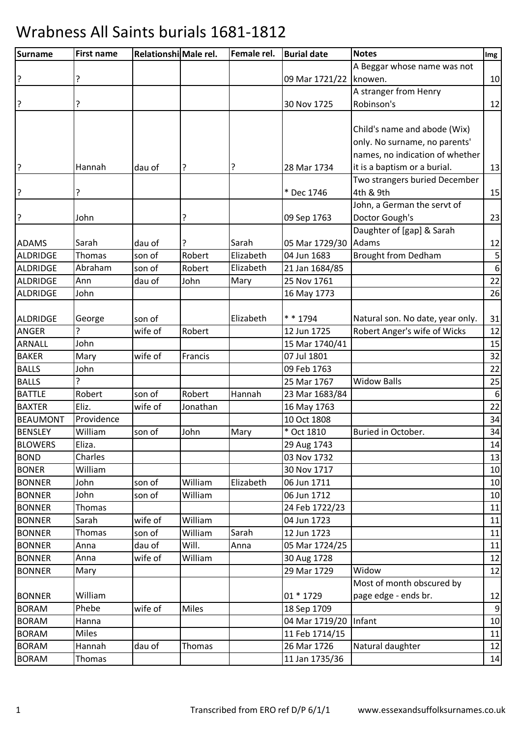| <b>Surname</b>  | <b>First name</b> |         | Relationshi Male rel. | Female rel. | <b>Burial date</b> | <b>Notes</b>                     | Img              |
|-----------------|-------------------|---------|-----------------------|-------------|--------------------|----------------------------------|------------------|
|                 |                   |         |                       |             |                    | A Beggar whose name was not      |                  |
| ?               |                   |         |                       |             | 09 Mar 1721/22     | knowen.                          | 10               |
|                 |                   |         |                       |             |                    | A stranger from Henry            |                  |
| ?               | ?                 |         |                       |             | 30 Nov 1725        | Robinson's                       | 12               |
|                 |                   |         |                       |             |                    |                                  |                  |
|                 |                   |         |                       |             |                    | Child's name and abode (Wix)     |                  |
|                 |                   |         |                       |             |                    | only. No surname, no parents'    |                  |
|                 |                   |         |                       |             |                    | names, no indication of whether  |                  |
| ?               | Hannah            | dau of  | ?                     | ?           | 28 Mar 1734        | it is a baptism or a burial.     | 13               |
|                 |                   |         |                       |             |                    | Two strangers buried December    |                  |
| ?               |                   |         |                       |             | * Dec 1746         | 4th & 9th                        | 15               |
|                 |                   |         |                       |             |                    | John, a German the servt of      |                  |
| ?               | John              |         | ?                     |             | 09 Sep 1763        | Doctor Gough's                   | 23               |
|                 |                   |         |                       |             |                    | Daughter of [gap] & Sarah        |                  |
| <b>ADAMS</b>    | Sarah             | dau of  | ?                     | Sarah       | 05 Mar 1729/30     | Adams                            | 12               |
| ALDRIDGE        | Thomas            | son of  | Robert                | Elizabeth   | 04 Jun 1683        | <b>Brought from Dedham</b>       | 5                |
| <b>ALDRIDGE</b> | Abraham           | son of  | Robert                | Elizabeth   | 21 Jan 1684/85     |                                  | $\,6\,$          |
| ALDRIDGE        | Ann               | dau of  | John                  | Mary        | 25 Nov 1761        |                                  | 22               |
| ALDRIDGE        | John              |         |                       |             | 16 May 1773        |                                  | 26               |
|                 |                   |         |                       |             |                    |                                  |                  |
| ALDRIDGE        | George            | son of  |                       | Elizabeth   | * * 1794           | Natural son. No date, year only. | 31               |
| ANGER           | 7                 | wife of | Robert                |             | 12 Jun 1725        | Robert Anger's wife of Wicks     | 12               |
| ARNALL          | John              |         |                       |             | 15 Mar 1740/41     |                                  | 15               |
| <b>BAKER</b>    | Mary              | wife of | Francis               |             | 07 Jul 1801        |                                  | 32               |
| <b>BALLS</b>    | John              |         |                       |             | 09 Feb 1763        |                                  | 22               |
| <b>BALLS</b>    | ?                 |         |                       |             | 25 Mar 1767        | <b>Widow Balls</b>               | 25               |
| <b>BATTLE</b>   | Robert            | son of  | Robert                | Hannah      | 23 Mar 1683/84     |                                  | $\boldsymbol{6}$ |
| <b>BAXTER</b>   | Eliz.             | wife of | Jonathan              |             | 16 May 1763        |                                  | 22               |
| <b>BEAUMONT</b> | Providence        |         |                       |             | 10 Oct 1808        |                                  | 34               |
| <b>BENSLEY</b>  | William           | son of  | John                  | Mary        | * Oct 1810         | Buried in October.               | 34               |
| <b>BLOWERS</b>  | Eliza.            |         |                       |             | 29 Aug 1743        |                                  | 14               |
| <b>BOND</b>     | Charles           |         |                       |             | 03 Nov 1732        |                                  | 13               |
| <b>BONER</b>    | William           |         |                       |             | 30 Nov 1717        |                                  | 10               |
| <b>BONNER</b>   | John              | son of  | William               | Elizabeth   | 06 Jun 1711        |                                  | 10               |
| <b>BONNER</b>   | John              | son of  | William               |             | 06 Jun 1712        |                                  | $10\,$           |
| <b>BONNER</b>   | Thomas            |         |                       |             | 24 Feb 1722/23     |                                  | 11               |
| <b>BONNER</b>   | Sarah             | wife of | William               |             | 04 Jun 1723        |                                  | 11               |
| <b>BONNER</b>   | Thomas            | son of  | William               | Sarah       | 12 Jun 1723        |                                  | 11               |
| <b>BONNER</b>   | Anna              | dau of  | Will.                 | Anna        | 05 Mar 1724/25     |                                  | 11               |
| <b>BONNER</b>   | Anna              | wife of | William               |             | 30 Aug 1728        |                                  | 12               |
| <b>BONNER</b>   | Mary              |         |                       |             | 29 Mar 1729        | Widow                            | 12               |
|                 |                   |         |                       |             |                    | Most of month obscured by        |                  |
| <b>BONNER</b>   | William           |         |                       |             | 01 * 1729          | page edge - ends br.             | 12               |
| <b>BORAM</b>    | Phebe             | wife of | Miles                 |             | 18 Sep 1709        |                                  | $\boldsymbol{9}$ |
| <b>BORAM</b>    | Hanna             |         |                       |             | 04 Mar 1719/20     | Infant                           | $10\,$           |
| <b>BORAM</b>    | <b>Miles</b>      |         |                       |             | 11 Feb 1714/15     |                                  | 11               |
| <b>BORAM</b>    | Hannah            | dau of  | <b>Thomas</b>         |             | 26 Mar 1726        | Natural daughter                 | 12               |
| <b>BORAM</b>    | Thomas            |         |                       |             | 11 Jan 1735/36     |                                  | $14\,$           |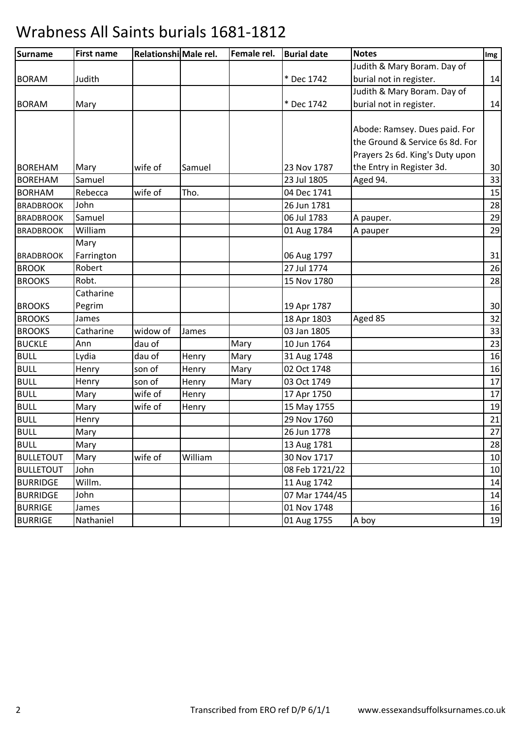| <b>Surname</b>   | <b>First name</b> | Relationshi Male rel. |         | Female rel. | <b>Burial date</b> | <b>Notes</b>                    | Img |
|------------------|-------------------|-----------------------|---------|-------------|--------------------|---------------------------------|-----|
|                  |                   |                       |         |             |                    | Judith & Mary Boram. Day of     |     |
| <b>BORAM</b>     | Judith            |                       |         |             | * Dec 1742         | burial not in register.         | 14  |
|                  |                   |                       |         |             |                    | Judith & Mary Boram. Day of     |     |
| <b>BORAM</b>     | Mary              |                       |         |             | * Dec 1742         | burial not in register.         | 14  |
|                  |                   |                       |         |             |                    |                                 |     |
|                  |                   |                       |         |             |                    | Abode: Ramsey. Dues paid. For   |     |
|                  |                   |                       |         |             |                    | the Ground & Service 6s 8d. For |     |
|                  |                   |                       |         |             |                    | Prayers 2s 6d. King's Duty upon |     |
| <b>BOREHAM</b>   | Mary              | wife of               | Samuel  |             | 23 Nov 1787        | the Entry in Register 3d.       | 30  |
| <b>BOREHAM</b>   | Samuel            |                       |         |             | 23 Jul 1805        | Aged 94.                        | 33  |
| <b>BORHAM</b>    | Rebecca           | wife of               | Tho.    |             | 04 Dec 1741        |                                 | 15  |
| <b>BRADBROOK</b> | John              |                       |         |             | 26 Jun 1781        |                                 | 28  |
| <b>BRADBROOK</b> | Samuel            |                       |         |             | 06 Jul 1783        | A pauper.                       | 29  |
| <b>BRADBROOK</b> | William           |                       |         |             | 01 Aug 1784        | A pauper                        | 29  |
|                  | Mary              |                       |         |             |                    |                                 |     |
| <b>BRADBROOK</b> | Farrington        |                       |         |             | 06 Aug 1797        |                                 | 31  |
| <b>BROOK</b>     | Robert            |                       |         |             | 27 Jul 1774        |                                 | 26  |
| <b>BROOKS</b>    | Robt.             |                       |         |             | 15 Nov 1780        |                                 | 28  |
|                  | Catharine         |                       |         |             |                    |                                 |     |
| <b>BROOKS</b>    | Pegrim            |                       |         |             | 19 Apr 1787        |                                 | 30  |
| <b>BROOKS</b>    | James             |                       |         |             | 18 Apr 1803        | Aged 85                         | 32  |
| <b>BROOKS</b>    | Catharine         | widow of              | James   |             | 03 Jan 1805        |                                 | 33  |
| <b>BUCKLE</b>    | Ann               | dau of                |         | Mary        | 10 Jun 1764        |                                 | 23  |
| <b>BULL</b>      | Lydia             | dau of                | Henry   | Mary        | 31 Aug 1748        |                                 | 16  |
| <b>BULL</b>      | Henry             | son of                | Henry   | Mary        | 02 Oct 1748        |                                 | 16  |
| <b>BULL</b>      | Henry             | son of                | Henry   | Mary        | 03 Oct 1749        |                                 | 17  |
| <b>BULL</b>      | Mary              | wife of               | Henry   |             | 17 Apr 1750        |                                 | 17  |
| <b>BULL</b>      | Mary              | wife of               | Henry   |             | 15 May 1755        |                                 | 19  |
| <b>BULL</b>      | Henry             |                       |         |             | 29 Nov 1760        |                                 | 21  |
| <b>BULL</b>      | Mary              |                       |         |             | 26 Jun 1778        |                                 | 27  |
| <b>BULL</b>      | Mary              |                       |         |             | 13 Aug 1781        |                                 | 28  |
| <b>BULLETOUT</b> | Mary              | wife of               | William |             | 30 Nov 1717        |                                 | 10  |
| <b>BULLETOUT</b> | John              |                       |         |             | 08 Feb 1721/22     |                                 | 10  |
| <b>BURRIDGE</b>  | Willm.            |                       |         |             | 11 Aug 1742        |                                 | 14  |
| <b>BURRIDGE</b>  | John              |                       |         |             | 07 Mar 1744/45     |                                 | 14  |
| <b>BURRIGE</b>   | James             |                       |         |             | 01 Nov 1748        |                                 | 16  |
| <b>BURRIGE</b>   | Nathaniel         |                       |         |             | 01 Aug 1755        | A boy                           | 19  |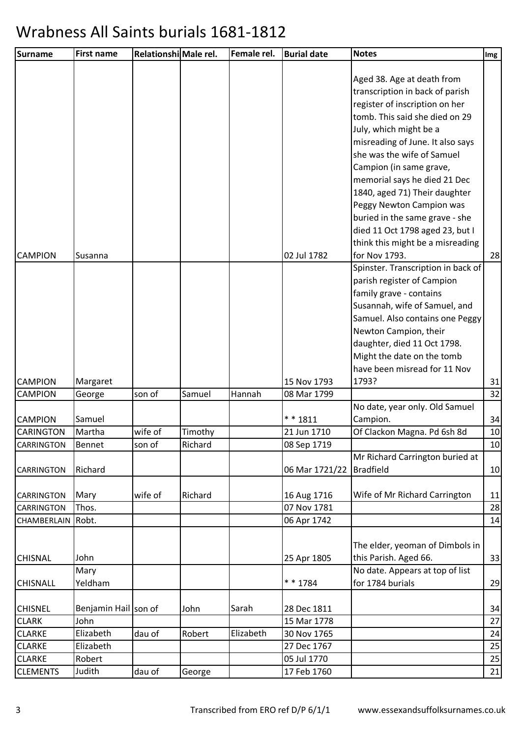| <b>Surname</b>                  | <b>First name</b>    | Relationshi Male rel. |         | Female rel. | <b>Burial date</b>            | <b>Notes</b>                                                                                                                                                                                                                                                                                                                                                                                                                                                   | Img      |
|---------------------------------|----------------------|-----------------------|---------|-------------|-------------------------------|----------------------------------------------------------------------------------------------------------------------------------------------------------------------------------------------------------------------------------------------------------------------------------------------------------------------------------------------------------------------------------------------------------------------------------------------------------------|----------|
|                                 |                      |                       |         |             |                               | Aged 38. Age at death from<br>transcription in back of parish<br>register of inscription on her<br>tomb. This said she died on 29<br>July, which might be a<br>misreading of June. It also says<br>she was the wife of Samuel<br>Campion (in same grave,<br>memorial says he died 21 Dec<br>1840, aged 71) Their daughter<br>Peggy Newton Campion was<br>buried in the same grave - she<br>died 11 Oct 1798 aged 23, but I<br>think this might be a misreading |          |
| <b>CAMPION</b>                  | Susanna              |                       |         |             | 02 Jul 1782                   | for Nov 1793.<br>Spinster. Transcription in back of<br>parish register of Campion<br>family grave - contains<br>Susannah, wife of Samuel, and<br>Samuel. Also contains one Peggy<br>Newton Campion, their<br>daughter, died 11 Oct 1798.<br>Might the date on the tomb                                                                                                                                                                                         | 28       |
| <b>CAMPION</b>                  | Margaret             |                       |         |             | 15 Nov 1793                   | have been misread for 11 Nov<br>1793?                                                                                                                                                                                                                                                                                                                                                                                                                          | 31       |
| <b>CAMPION</b>                  | George               | son of                | Samuel  | Hannah      | 08 Mar 1799                   |                                                                                                                                                                                                                                                                                                                                                                                                                                                                | 32       |
| <b>CAMPION</b>                  | Samuel               |                       |         |             | $* * 1811$                    | No date, year only. Old Samuel<br>Campion.                                                                                                                                                                                                                                                                                                                                                                                                                     | 34       |
| <b>CARINGTON</b>                | Martha               | wife of               | Timothy |             | 21 Jun 1710                   | Of Clackon Magna. Pd 6sh 8d                                                                                                                                                                                                                                                                                                                                                                                                                                    | 10       |
| CARRINGTON<br><b>CARRINGTON</b> | Bennet<br>Richard    | son of                | Richard |             | 08 Sep 1719<br>06 Mar 1721/22 | Mr Richard Carrington buried at<br><b>Bradfield</b>                                                                                                                                                                                                                                                                                                                                                                                                            | 10<br>10 |
| <b>CARRINGTON</b><br>CARRINGTON | Mary<br>Thos.        | wife of               | Richard |             | 16 Aug 1716<br>07 Nov 1781    | Wife of Mr Richard Carrington                                                                                                                                                                                                                                                                                                                                                                                                                                  | 11<br>28 |
| CHAMBERLAIN                     | Robt.                |                       |         |             | 06 Apr 1742                   | The elder, yeoman of Dimbols in                                                                                                                                                                                                                                                                                                                                                                                                                                | 14       |
| <b>CHISNAL</b>                  | John<br>Mary         |                       |         |             | 25 Apr 1805                   | this Parish. Aged 66.<br>No date. Appears at top of list                                                                                                                                                                                                                                                                                                                                                                                                       | 33       |
| <b>CHISNALL</b>                 | Yeldham              |                       |         |             | * * 1784                      | for 1784 burials                                                                                                                                                                                                                                                                                                                                                                                                                                               | 29       |
| <b>CHISNEL</b>                  | Benjamin Hail son of |                       | John    | Sarah       | 28 Dec 1811                   |                                                                                                                                                                                                                                                                                                                                                                                                                                                                | 34       |
| <b>CLARK</b>                    | John                 |                       |         |             | 15 Mar 1778                   |                                                                                                                                                                                                                                                                                                                                                                                                                                                                | 27       |
| <b>CLARKE</b>                   | Elizabeth            | dau of                | Robert  | Elizabeth   | 30 Nov 1765                   |                                                                                                                                                                                                                                                                                                                                                                                                                                                                | 24       |
| <b>CLARKE</b>                   | Elizabeth            |                       |         |             | 27 Dec 1767                   |                                                                                                                                                                                                                                                                                                                                                                                                                                                                | 25       |
| <b>CLARKE</b>                   | Robert               |                       |         |             | 05 Jul 1770                   |                                                                                                                                                                                                                                                                                                                                                                                                                                                                | 25       |
| <b>CLEMENTS</b>                 | Judith               | dau of                | George  |             | 17 Feb 1760                   |                                                                                                                                                                                                                                                                                                                                                                                                                                                                | 21       |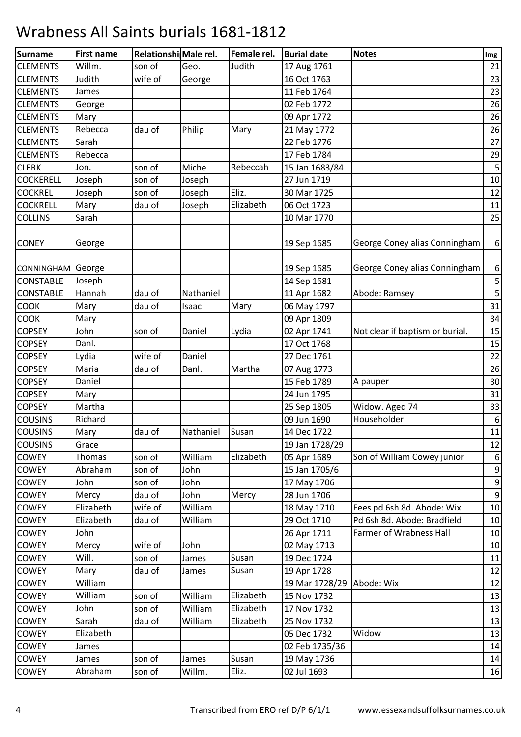| <b>Surname</b>   | <b>First name</b> | Relationshi Male rel. |           | Female rel. | <b>Burial date</b> | <b>Notes</b>                    | Img              |
|------------------|-------------------|-----------------------|-----------|-------------|--------------------|---------------------------------|------------------|
| <b>CLEMENTS</b>  | Willm.            | son of                | Geo.      | Judith      | 17 Aug 1761        |                                 | 21               |
| <b>CLEMENTS</b>  | Judith            | wife of               | George    |             | 16 Oct 1763        |                                 | 23               |
| <b>CLEMENTS</b>  | James             |                       |           |             | 11 Feb 1764        |                                 | 23               |
| <b>CLEMENTS</b>  | George            |                       |           |             | 02 Feb 1772        |                                 | 26               |
| <b>CLEMENTS</b>  | Mary              |                       |           |             | 09 Apr 1772        |                                 | 26               |
| <b>CLEMENTS</b>  | Rebecca           | dau of                | Philip    | Mary        | 21 May 1772        |                                 | 26               |
| <b>CLEMENTS</b>  | Sarah             |                       |           |             | 22 Feb 1776        |                                 | 27               |
| <b>CLEMENTS</b>  | Rebecca           |                       |           |             | 17 Feb 1784        |                                 | 29               |
| <b>CLERK</b>     | Jon.              | son of                | Miche     | Rebeccah    | 15 Jan 1683/84     |                                 | $\mathsf S$      |
| <b>COCKERELL</b> | Joseph            | son of                | Joseph    |             | 27 Jun 1719        |                                 | 10               |
| <b>COCKREL</b>   | Joseph            | son of                | Joseph    | Eliz.       | 30 Mar 1725        |                                 | 12               |
| <b>COCKRELL</b>  | Mary              | dau of                | Joseph    | Elizabeth   | 06 Oct 1723        |                                 | 11               |
| <b>COLLINS</b>   | Sarah             |                       |           |             | 10 Mar 1770        |                                 | 25               |
| <b>CONEY</b>     | George            |                       |           |             | 19 Sep 1685        | George Coney alias Conningham   | 6                |
| CONNINGHAM       | George            |                       |           |             | 19 Sep 1685        | George Coney alias Conningham   | 6                |
| <b>CONSTABLE</b> | Joseph            |                       |           |             | 14 Sep 1681        |                                 | $\mathsf S$      |
| <b>CONSTABLE</b> | Hannah            | dau of                | Nathaniel |             | 11 Apr 1682        | Abode: Ramsey                   | $\mathsf S$      |
| <b>COOK</b>      | Mary              | dau of                | Isaac     | Mary        | 06 May 1797        |                                 | 31               |
| COOK             | Mary              |                       |           |             | 09 Apr 1809        |                                 | 34               |
| <b>COPSEY</b>    | John              | son of                | Daniel    | Lydia       | 02 Apr 1741        | Not clear if baptism or burial. | 15               |
| <b>COPSEY</b>    | Danl.             |                       |           |             | 17 Oct 1768        |                                 | 15               |
| <b>COPSEY</b>    | Lydia             | wife of               | Daniel    |             | 27 Dec 1761        |                                 | 22               |
| <b>COPSEY</b>    | Maria             | dau of                | Danl.     | Martha      | 07 Aug 1773        |                                 | 26               |
| <b>COPSEY</b>    | Daniel            |                       |           |             | 15 Feb 1789        | A pauper                        | 30               |
| <b>COPSEY</b>    | Mary              |                       |           |             | 24 Jun 1795        |                                 | 31               |
| <b>COPSEY</b>    | Martha            |                       |           |             | 25 Sep 1805        | Widow. Aged 74                  | 33               |
| <b>COUSINS</b>   | Richard           |                       |           |             | 09 Jun 1690        | Householder                     | 6                |
| <b>COUSINS</b>   | Mary              | dau of                | Nathaniel | Susan       | 14 Dec 1722        |                                 | 11               |
| <b>COUSINS</b>   | Grace             |                       |           |             | 19 Jan 1728/29     |                                 | 12               |
| COWEY            | Thomas            | son of                | William   | Elizabeth   | 05 Apr 1689        | Son of William Cowey junior     | 6                |
| <b>COWEY</b>     | Abraham           | son of                | John      |             | 15 Jan 1705/6      |                                 | $\overline{9}$   |
| COWEY            | John              | son of                | John      |             | 17 May 1706        |                                 | $\boldsymbol{9}$ |
| COWEY            | Mercy             | dau of                | John      | Mercy       | 28 Jun 1706        |                                 | $\overline{9}$   |
| <b>COWEY</b>     | Elizabeth         | wife of               | William   |             | 18 May 1710        | Fees pd 6sh 8d. Abode: Wix      | 10               |
| COWEY            | Elizabeth         | dau of                | William   |             | 29 Oct 1710        | Pd 6sh 8d. Abode: Bradfield     | 10               |
| <b>COWEY</b>     | John              |                       |           |             | 26 Apr 1711        | Farmer of Wrabness Hall         | 10               |
| COWEY            | Mercy             | wife of               | John      |             | 02 May 1713        |                                 | 10               |
| COWEY            | Will.             | son of                | James     | Susan       | 19 Dec 1724        |                                 | 11               |
| <b>COWEY</b>     | Mary              | dau of                | James     | Susan       | 19 Apr 1728        |                                 | 12               |
| COWEY            | William           |                       |           |             | 19 Mar 1728/29     | Abode: Wix                      | 12               |
| <b>COWEY</b>     | William           | son of                | William   | Elizabeth   | 15 Nov 1732        |                                 | 13               |
| COWEY            | John              | son of                | William   | Elizabeth   | 17 Nov 1732        |                                 | 13               |
| COWEY            | Sarah             | dau of                | William   | Elizabeth   | 25 Nov 1732        |                                 | 13               |
| <b>COWEY</b>     | Elizabeth         |                       |           |             | 05 Dec 1732        | Widow                           | 13               |
| COWEY            | James             |                       |           |             | 02 Feb 1735/36     |                                 | 14               |
| <b>COWEY</b>     | James             | son of                | James     | Susan       | 19 May 1736        |                                 | 14               |
| <b>COWEY</b>     | Abraham           | son of                | Willm.    | Eliz.       | 02 Jul 1693        |                                 | 16               |
|                  |                   |                       |           |             |                    |                                 |                  |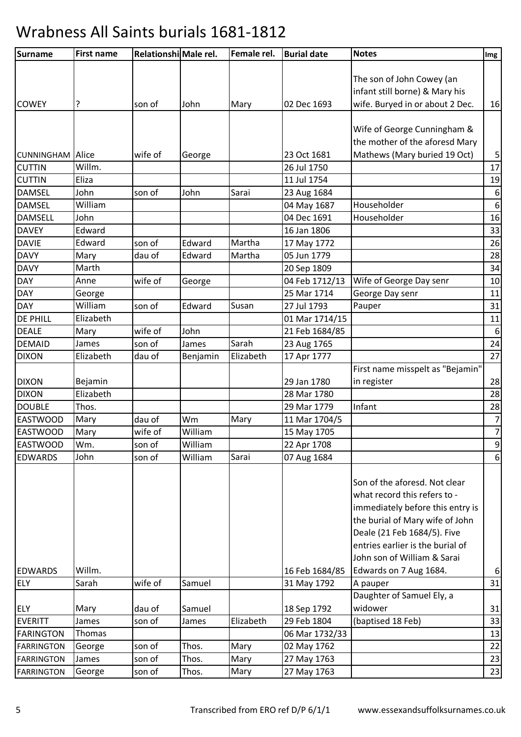| Surname           | <b>First name</b> | Relationshi Male rel. |          | Female rel. | <b>Burial date</b> | <b>Notes</b>                     | Img              |
|-------------------|-------------------|-----------------------|----------|-------------|--------------------|----------------------------------|------------------|
|                   |                   |                       |          |             |                    |                                  |                  |
|                   |                   |                       |          |             |                    | The son of John Cowey (an        |                  |
|                   |                   |                       |          |             |                    | infant still borne) & Mary his   |                  |
| <b>COWEY</b>      | ?                 | son of                | John     | Mary        | 02 Dec 1693        | wife. Buryed in or about 2 Dec.  | 16               |
|                   |                   |                       |          |             |                    | Wife of George Cunningham &      |                  |
|                   |                   |                       |          |             |                    | the mother of the aforesd Mary   |                  |
| CUNNINGHAM        | Alice             | wife of               |          |             | 23 Oct 1681        | Mathews (Mary buried 19 Oct)     | 5                |
| <b>CUTTIN</b>     | Willm.            |                       | George   |             | 26 Jul 1750        |                                  | 17               |
| <b>CUTTIN</b>     | Eliza             |                       |          |             | 11 Jul 1754        |                                  | 19               |
| <b>DAMSEL</b>     | John              | son of                | John     | Sarai       | 23 Aug 1684        |                                  | $\boldsymbol{6}$ |
| <b>DAMSEL</b>     | William           |                       |          |             | 04 May 1687        | Householder                      | $\boldsymbol{6}$ |
| <b>DAMSELL</b>    | John              |                       |          |             | 04 Dec 1691        | Householder                      | 16               |
| <b>DAVEY</b>      | Edward            |                       |          |             | 16 Jan 1806        |                                  | 33               |
| <b>DAVIE</b>      | Edward            | son of                | Edward   | Martha      | 17 May 1772        |                                  | 26               |
| <b>DAVY</b>       | Mary              | dau of                | Edward   | Martha      | 05 Jun 1779        |                                  | 28               |
| <b>DAVY</b>       | Marth             |                       |          |             | 20 Sep 1809        |                                  | 34               |
| DAY               | Anne              | wife of               | George   |             | 04 Feb 1712/13     | Wife of George Day senr          | 10               |
| <b>DAY</b>        | George            |                       |          |             | 25 Mar 1714        | George Day senr                  | 11               |
| DAY               | William           | son of                | Edward   | Susan       | 27 Jul 1793        | Pauper                           | 31               |
| <b>DE PHILL</b>   | Elizabeth         |                       |          |             | 01 Mar 1714/15     |                                  | $11\,$           |
| <b>DEALE</b>      | Mary              | wife of               | John     |             | 21 Feb 1684/85     |                                  | $\boldsymbol{6}$ |
| <b>DEMAID</b>     | James             | son of                | James    | Sarah       | 23 Aug 1765        |                                  | 24               |
| <b>DIXON</b>      | Elizabeth         | dau of                | Benjamin | Elizabeth   | 17 Apr 1777        |                                  | 27               |
|                   |                   |                       |          |             |                    | First name misspelt as "Bejamin" |                  |
| <b>DIXON</b>      | Bejamin           |                       |          |             | 29 Jan 1780        | in register                      | 28               |
| <b>DIXON</b>      | Elizabeth         |                       |          |             | 28 Mar 1780        |                                  | 28               |
| <b>DOUBLE</b>     | Thos.             |                       |          |             | 29 Mar 1779        | Infant                           | 28               |
| <b>EASTWOOD</b>   | Mary              | dau of                | Wm       | Mary        | 11 Mar 1704/5      |                                  | $\overline{7}$   |
| <b>EASTWOOD</b>   | Mary              | wife of               | William  |             | 15 May 1705        |                                  | $\overline{7}$   |
| <b>EASTWOOD</b>   | Wm.               | son of                | William  |             | 22 Apr 1708        |                                  | 9                |
| <b>EDWARDS</b>    | John              | son of                | William  | Sarai       | 07 Aug 1684        |                                  | $\boldsymbol{6}$ |
|                   |                   |                       |          |             |                    |                                  |                  |
|                   |                   |                       |          |             |                    | Son of the aforesd. Not clear    |                  |
|                   |                   |                       |          |             |                    | what record this refers to -     |                  |
|                   |                   |                       |          |             |                    | immediately before this entry is |                  |
|                   |                   |                       |          |             |                    | the burial of Mary wife of John  |                  |
|                   |                   |                       |          |             |                    | Deale (21 Feb 1684/5). Five      |                  |
|                   |                   |                       |          |             |                    | entries earlier is the burial of |                  |
|                   |                   |                       |          |             |                    | John son of William & Sarai      |                  |
| <b>EDWARDS</b>    | Willm.            |                       |          |             | 16 Feb 1684/85     | Edwards on 7 Aug 1684.           | $\boldsymbol{6}$ |
| <b>ELY</b>        | Sarah             | wife of               | Samuel   |             | 31 May 1792        | A pauper                         | 31               |
|                   |                   |                       |          |             |                    | Daughter of Samuel Ely, a        |                  |
| <b>ELY</b>        | Mary              | dau of                | Samuel   |             | 18 Sep 1792        | widower                          | 31               |
| <b>EVERITT</b>    | James             | son of                | James    | Elizabeth   | 29 Feb 1804        | (baptised 18 Feb)                | 33               |
| <b>FARINGTON</b>  | Thomas            | son of                |          |             | 06 Mar 1732/33     |                                  | 13               |
| <b>FARRINGTON</b> | George            |                       | Thos.    | Mary        | 02 May 1762        |                                  | 22               |
| <b>FARRINGTON</b> | James             | son of                | Thos.    | Mary        | 27 May 1763        |                                  | 23               |
| <b>FARRINGTON</b> | George            | son of                | Thos.    | Mary        | 27 May 1763        |                                  | 23               |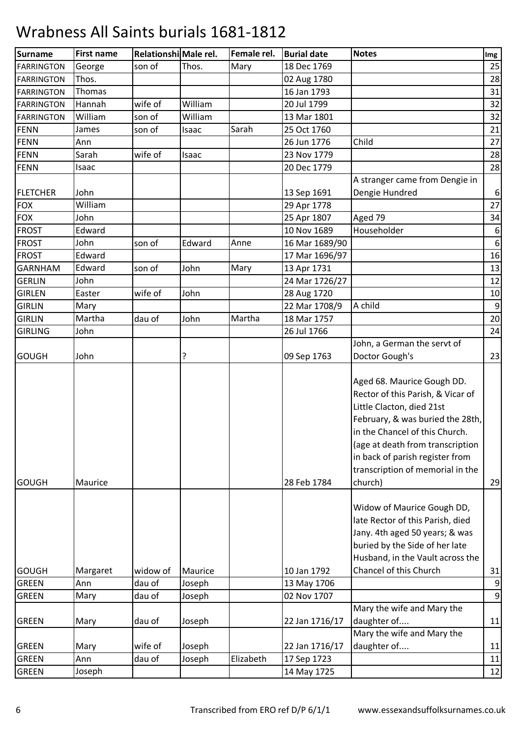| <b>Surname</b>    | <b>First name</b> | Relationshi Male rel. |         | Female rel. | <b>Burial date</b> | <b>Notes</b>                                                                                                                                                                                                                                                                             | Img              |
|-------------------|-------------------|-----------------------|---------|-------------|--------------------|------------------------------------------------------------------------------------------------------------------------------------------------------------------------------------------------------------------------------------------------------------------------------------------|------------------|
| <b>FARRINGTON</b> | George            | son of                | Thos.   | Mary        | 18 Dec 1769        |                                                                                                                                                                                                                                                                                          | 25               |
| <b>FARRINGTON</b> | Thos.             |                       |         |             | 02 Aug 1780        |                                                                                                                                                                                                                                                                                          | 28               |
| <b>FARRINGTON</b> | Thomas            |                       |         |             | 16 Jan 1793        |                                                                                                                                                                                                                                                                                          | 31               |
| <b>FARRINGTON</b> | Hannah            | wife of               | William |             | 20 Jul 1799        |                                                                                                                                                                                                                                                                                          | 32               |
| <b>FARRINGTON</b> | William           | son of                | William |             | 13 Mar 1801        |                                                                                                                                                                                                                                                                                          | 32               |
| <b>FENN</b>       | James             | son of                | Isaac   | Sarah       | 25 Oct 1760        |                                                                                                                                                                                                                                                                                          | 21               |
| <b>FENN</b>       | Ann               |                       |         |             | 26 Jun 1776        | Child                                                                                                                                                                                                                                                                                    | 27               |
| <b>FENN</b>       | Sarah             | wife of               | Isaac   |             | 23 Nov 1779        |                                                                                                                                                                                                                                                                                          | 28               |
| <b>FENN</b>       | Isaac             |                       |         |             | 20 Dec 1779        |                                                                                                                                                                                                                                                                                          | 28               |
| <b>FLETCHER</b>   | John              |                       |         |             | 13 Sep 1691        | A stranger came from Dengie in<br>Dengie Hundred                                                                                                                                                                                                                                         | $\boldsymbol{6}$ |
| <b>FOX</b>        | William           |                       |         |             | 29 Apr 1778        |                                                                                                                                                                                                                                                                                          | 27               |
| <b>FOX</b>        | John              |                       |         |             | 25 Apr 1807        | Aged 79                                                                                                                                                                                                                                                                                  | 34               |
| <b>FROST</b>      | Edward            |                       |         |             | 10 Nov 1689        | Householder                                                                                                                                                                                                                                                                              | 6                |
| <b>FROST</b>      | John              | son of                | Edward  | Anne        | 16 Mar 1689/90     |                                                                                                                                                                                                                                                                                          | $\boldsymbol{6}$ |
| <b>FROST</b>      | Edward            |                       |         |             | 17 Mar 1696/97     |                                                                                                                                                                                                                                                                                          | 16               |
| <b>GARNHAM</b>    | Edward            | son of                | John    | Mary        | 13 Apr 1731        |                                                                                                                                                                                                                                                                                          | 13               |
| <b>GERLIN</b>     | John              |                       |         |             | 24 Mar 1726/27     |                                                                                                                                                                                                                                                                                          | 12               |
| <b>GIRLEN</b>     | Easter            | wife of               | John    |             | 28 Aug 1720        |                                                                                                                                                                                                                                                                                          | 10               |
| <b>GIRLIN</b>     | Mary              |                       |         |             | 22 Mar 1708/9      | A child                                                                                                                                                                                                                                                                                  | $\overline{9}$   |
| <b>GIRLIN</b>     | Martha            | dau of                | John    | Martha      | 18 Mar 1757        |                                                                                                                                                                                                                                                                                          | 20               |
| <b>GIRLING</b>    | John              |                       |         |             | 26 Jul 1766        |                                                                                                                                                                                                                                                                                          | 24               |
|                   |                   |                       |         |             |                    | John, a German the servt of                                                                                                                                                                                                                                                              |                  |
| <b>GOUGH</b>      | John              |                       | ?       |             | 09 Sep 1763        | Doctor Gough's                                                                                                                                                                                                                                                                           | 23               |
| <b>GOUGH</b>      | Maurice           |                       |         |             | 28 Feb 1784        | Aged 68. Maurice Gough DD.<br>Rector of this Parish, & Vicar of<br>Little Clacton, died 21st<br>February, & was buried the 28th,<br>in the Chancel of this Church.<br>(age at death from transcription<br>in back of parish register from<br>transcription of memorial in the<br>church) | 29               |
|                   |                   |                       |         |             |                    | Widow of Maurice Gough DD,<br>late Rector of this Parish, died<br>Jany. 4th aged 50 years; & was<br>buried by the Side of her late<br>Husband, in the Vault across the                                                                                                                   |                  |
| <b>GOUGH</b>      | Margaret          | widow of              | Maurice |             | 10 Jan 1792        | Chancel of this Church                                                                                                                                                                                                                                                                   | 31               |
| <b>GREEN</b>      | Ann               | dau of                | Joseph  |             | 13 May 1706        |                                                                                                                                                                                                                                                                                          | $\overline{9}$   |
| <b>GREEN</b>      | Mary              | dau of                | Joseph  |             | 02 Nov 1707        |                                                                                                                                                                                                                                                                                          | $\overline{9}$   |
| <b>GREEN</b>      | Mary              | dau of                | Joseph  |             | 22 Jan 1716/17     | Mary the wife and Mary the<br>daughter of                                                                                                                                                                                                                                                | 11               |
|                   |                   |                       |         |             |                    | Mary the wife and Mary the                                                                                                                                                                                                                                                               |                  |
| <b>GREEN</b>      | Mary              | wife of               | Joseph  |             | 22 Jan 1716/17     | daughter of                                                                                                                                                                                                                                                                              | 11               |
| <b>GREEN</b>      | Ann               | dau of                | Joseph  | Elizabeth   | 17 Sep 1723        |                                                                                                                                                                                                                                                                                          | 11               |
| <b>GREEN</b>      | Joseph            |                       |         |             | 14 May 1725        |                                                                                                                                                                                                                                                                                          | 12               |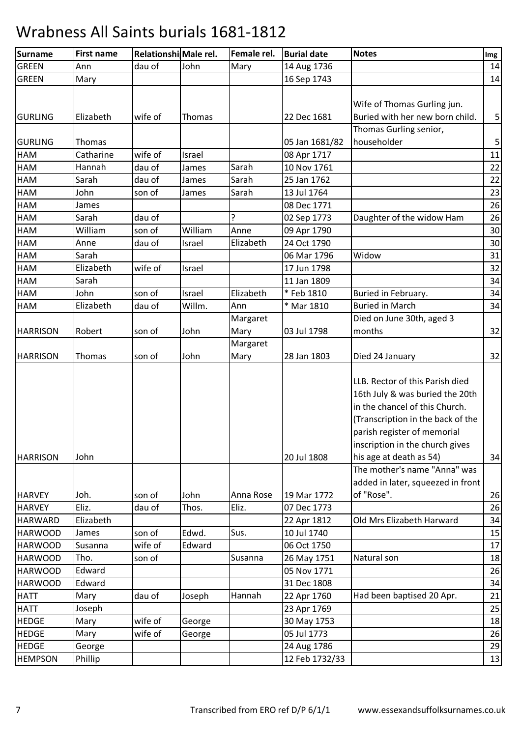| Surname         | <b>First name</b> | Relationshi Male rel. |         | Female rel. | <b>Burial date</b> | <b>Notes</b>                                                                                                                                                                                                                           | Img         |
|-----------------|-------------------|-----------------------|---------|-------------|--------------------|----------------------------------------------------------------------------------------------------------------------------------------------------------------------------------------------------------------------------------------|-------------|
| <b>GREEN</b>    | Ann               | dau of                | John    | Mary        | 14 Aug 1736        |                                                                                                                                                                                                                                        | 14          |
| <b>GREEN</b>    | Mary              |                       |         |             | 16 Sep 1743        |                                                                                                                                                                                                                                        | 14          |
|                 |                   |                       |         |             |                    |                                                                                                                                                                                                                                        |             |
|                 |                   |                       |         |             |                    | Wife of Thomas Gurling jun.                                                                                                                                                                                                            |             |
| <b>GURLING</b>  | Elizabeth         | wife of               | Thomas  |             | 22 Dec 1681        | Buried with her new born child.                                                                                                                                                                                                        | $\mathsf S$ |
|                 |                   |                       |         |             |                    | Thomas Gurling senior,                                                                                                                                                                                                                 |             |
| GURLING         | Thomas            |                       |         |             | 05 Jan 1681/82     | householder                                                                                                                                                                                                                            | $\mathsf S$ |
| <b>HAM</b>      | Catharine         | wife of               | Israel  |             | 08 Apr 1717        |                                                                                                                                                                                                                                        | 11          |
| <b>HAM</b>      | Hannah            | dau of                | James   | Sarah       | 10 Nov 1761        |                                                                                                                                                                                                                                        | 22          |
| <b>HAM</b>      | Sarah             | dau of                | James   | Sarah       | 25 Jan 1762        |                                                                                                                                                                                                                                        | 22          |
| <b>HAM</b>      | John              | son of                | James   | Sarah       | 13 Jul 1764        |                                                                                                                                                                                                                                        | 23          |
| HAM             | James             |                       |         |             | 08 Dec 1771        |                                                                                                                                                                                                                                        | 26          |
| <b>HAM</b>      | Sarah             | dau of                |         | ŗ           | 02 Sep 1773        | Daughter of the widow Ham                                                                                                                                                                                                              | 26          |
| <b>HAM</b>      | William           | son of                | William | Anne        | 09 Apr 1790        |                                                                                                                                                                                                                                        | 30          |
| <b>HAM</b>      | Anne              | dau of                | Israel  | Elizabeth   | 24 Oct 1790        |                                                                                                                                                                                                                                        | 30          |
| <b>HAM</b>      | Sarah             |                       |         |             | 06 Mar 1796        | Widow                                                                                                                                                                                                                                  | 31          |
| HAM             | Elizabeth         | wife of               | Israel  |             | 17 Jun 1798        |                                                                                                                                                                                                                                        | 32          |
| <b>HAM</b>      | Sarah             |                       |         |             | 11 Jan 1809        |                                                                                                                                                                                                                                        | 34          |
| <b>HAM</b>      | John              | son of                | Israel  | Elizabeth   | *Feb 1810          | Buried in February.                                                                                                                                                                                                                    | 34          |
| <b>HAM</b>      | Elizabeth         | dau of                | Willm.  | Ann         | * Mar 1810         | <b>Buried in March</b>                                                                                                                                                                                                                 | 34          |
|                 |                   |                       |         | Margaret    |                    | Died on June 30th, aged 3                                                                                                                                                                                                              |             |
| <b>HARRISON</b> | Robert            | son of                | John    | Mary        | 03 Jul 1798        | months                                                                                                                                                                                                                                 | 32          |
|                 |                   |                       |         | Margaret    |                    |                                                                                                                                                                                                                                        |             |
| <b>HARRISON</b> | Thomas            | son of                | John    | Mary        | 28 Jan 1803        | Died 24 January                                                                                                                                                                                                                        | 32          |
| <b>HARRISON</b> | John              |                       |         |             | 20 Jul 1808        | LLB. Rector of this Parish died<br>16th July & was buried the 20th<br>in the chancel of this Church.<br>(Transcription in the back of the<br>parish register of memorial<br>inscription in the church gives<br>his age at death as 54) | 34          |
|                 |                   |                       |         |             |                    | The mother's name "Anna" was                                                                                                                                                                                                           |             |
|                 |                   |                       |         |             |                    | added in later, squeezed in front                                                                                                                                                                                                      |             |
| <b>HARVEY</b>   | Joh.              | son of                | John    | Anna Rose   | 19 Mar 1772        | of "Rose".                                                                                                                                                                                                                             | 26          |
| <b>HARVEY</b>   | Eliz.             | dau of                | Thos.   | Eliz.       | 07 Dec 1773        |                                                                                                                                                                                                                                        | 26          |
| <b>HARWARD</b>  | Elizabeth         |                       |         |             | 22 Apr 1812        | Old Mrs Elizabeth Harward                                                                                                                                                                                                              | 34          |
| <b>HARWOOD</b>  | James             | son of                | Edwd.   | Sus.        | 10 Jul 1740        |                                                                                                                                                                                                                                        | 15          |
| <b>HARWOOD</b>  | Susanna           | wife of               | Edward  |             | 06 Oct 1750        |                                                                                                                                                                                                                                        | 17          |
| <b>HARWOOD</b>  | Tho.              | son of                |         | Susanna     | 26 May 1751        | Natural son                                                                                                                                                                                                                            | 18          |
| <b>HARWOOD</b>  | Edward            |                       |         |             | 05 Nov 1771        |                                                                                                                                                                                                                                        | 26          |
| <b>HARWOOD</b>  | Edward            |                       |         |             | 31 Dec 1808        |                                                                                                                                                                                                                                        | 34          |
| <b>HATT</b>     | Mary              | dau of                | Joseph  | Hannah      | 22 Apr 1760        | Had been baptised 20 Apr.                                                                                                                                                                                                              | 21          |
| <b>HATT</b>     | Joseph            |                       |         |             | 23 Apr 1769        |                                                                                                                                                                                                                                        | 25          |
| <b>HEDGE</b>    | Mary              | wife of               | George  |             | 30 May 1753        |                                                                                                                                                                                                                                        | 18          |
| <b>HEDGE</b>    | Mary              | wife of               | George  |             | 05 Jul 1773        |                                                                                                                                                                                                                                        | 26          |
| <b>HEDGE</b>    | George            |                       |         |             | 24 Aug 1786        |                                                                                                                                                                                                                                        | 29          |
| <b>HEMPSON</b>  | Phillip           |                       |         |             | 12 Feb 1732/33     |                                                                                                                                                                                                                                        | 13          |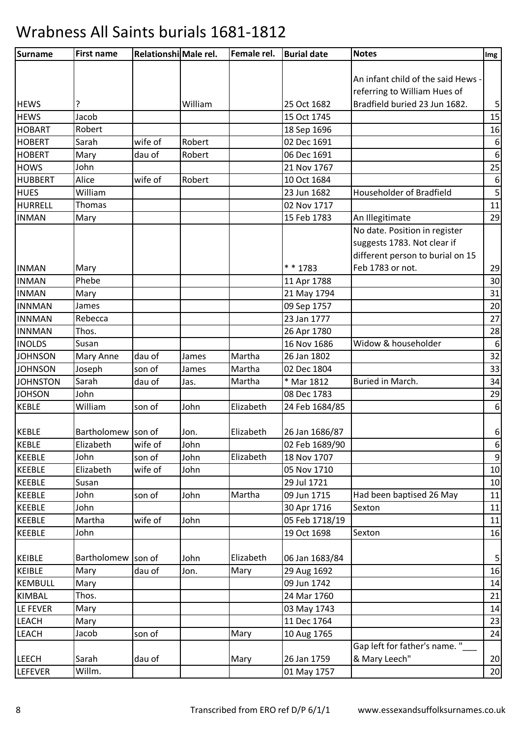| Surname         | <b>First name</b>  | Relationshi Male rel. |         | Female rel. | <b>Burial date</b> | <b>Notes</b>                       | Img              |
|-----------------|--------------------|-----------------------|---------|-------------|--------------------|------------------------------------|------------------|
|                 |                    |                       |         |             |                    |                                    |                  |
|                 |                    |                       |         |             |                    | An infant child of the said Hews - |                  |
|                 |                    |                       |         |             |                    | referring to William Hues of       |                  |
| <b>HEWS</b>     | ?                  |                       | William |             | 25 Oct 1682        | Bradfield buried 23 Jun 1682.      | $\mathsf S$      |
| <b>HEWS</b>     | Jacob              |                       |         |             | 15 Oct 1745        |                                    | 15               |
| <b>HOBART</b>   | Robert             |                       |         |             | 18 Sep 1696        |                                    | 16               |
| <b>HOBERT</b>   | Sarah              | wife of               | Robert  |             | 02 Dec 1691        |                                    | $\boldsymbol{6}$ |
| <b>HOBERT</b>   | Mary               | dau of                | Robert  |             | 06 Dec 1691        |                                    | $\boldsymbol{6}$ |
| <b>HOWS</b>     | John               |                       |         |             | 21 Nov 1767        |                                    | 25               |
| <b>HUBBERT</b>  | Alice              | wife of               | Robert  |             | 10 Oct 1684        |                                    | $\boldsymbol{6}$ |
| <b>HUES</b>     | William            |                       |         |             | 23 Jun 1682        | <b>Householder of Bradfield</b>    | 5                |
| HURRELL         | Thomas             |                       |         |             | 02 Nov 1717        |                                    | 11               |
| <b>INMAN</b>    | Mary               |                       |         |             | 15 Feb 1783        | An Illegitimate                    | 29               |
|                 |                    |                       |         |             |                    | No date. Position in register      |                  |
|                 |                    |                       |         |             |                    | suggests 1783. Not clear if        |                  |
|                 |                    |                       |         |             |                    | different person to burial on 15   |                  |
| <b>INMAN</b>    | Mary               |                       |         |             | * * 1783           | Feb 1783 or not.                   | 29               |
| <b>INMAN</b>    | Phebe              |                       |         |             | 11 Apr 1788        |                                    | 30               |
| <b>INMAN</b>    | Mary               |                       |         |             | 21 May 1794        |                                    | 31               |
| <b>INNMAN</b>   | James              |                       |         |             | 09 Sep 1757        |                                    | 20               |
| <b>INNMAN</b>   | Rebecca            |                       |         |             | 23 Jan 1777        |                                    | 27               |
| <b>INNMAN</b>   | Thos.              |                       |         |             | 26 Apr 1780        |                                    | 28               |
| <b>INOLDS</b>   | Susan              |                       |         |             | 16 Nov 1686        | Widow & householder                | $\boldsymbol{6}$ |
| <b>JOHNSON</b>  | Mary Anne          | dau of                | James   | Martha      | 26 Jan 1802        |                                    | 32               |
| <b>JOHNSON</b>  | Joseph             | son of                | James   | Martha      | 02 Dec 1804        |                                    | 33               |
| <b>JOHNSTON</b> | Sarah              | dau of                | Jas.    | Martha      | * Mar 1812         | Buried in March.                   | 34               |
| <b>JOHSON</b>   | John               |                       |         |             | 08 Dec 1783        |                                    | 29               |
| <b>KEBLE</b>    | William            | son of                | John    | Elizabeth   | 24 Feb 1684/85     |                                    | $\boldsymbol{6}$ |
|                 |                    |                       |         |             |                    |                                    |                  |
| <b>KEBLE</b>    | Bartholomew son of |                       | Jon.    | Elizabeth   | 26 Jan 1686/87     |                                    | $\boldsymbol{6}$ |
| <b>KEBLE</b>    | Elizabeth          | wife of               | John    |             | 02 Feb 1689/90     |                                    | 6                |
| <b>KEEBLE</b>   | John               | son of                | John    | Elizabeth   | 18 Nov 1707        |                                    | $\boldsymbol{9}$ |
| <b>KEEBLE</b>   | Elizabeth          | wife of               | John    |             | 05 Nov 1710        |                                    | $10\,$           |
| <b>KEEBLE</b>   | Susan              |                       |         |             | 29 Jul 1721        |                                    | 10               |
| <b>KEEBLE</b>   | John               | son of                | John    | Martha      | 09 Jun 1715        | Had been baptised 26 May           | 11               |
| <b>KEEBLE</b>   | John               |                       |         |             | 30 Apr 1716        | Sexton                             | 11               |
| <b>KEEBLE</b>   | Martha             | wife of               | John    |             | 05 Feb 1718/19     |                                    | 11               |
| <b>KEEBLE</b>   | John               |                       |         |             | 19 Oct 1698        | Sexton                             | 16               |
|                 |                    |                       |         |             |                    |                                    |                  |
| <b>KEIBLE</b>   | Bartholomew        | son of                | John    | Elizabeth   | 06 Jan 1683/84     |                                    | 5                |
| <b>KEIBLE</b>   | Mary               | dau of                | Jon.    | Mary        | 29 Aug 1692        |                                    | 16               |
| <b>KEMBULL</b>  | Mary               |                       |         |             | 09 Jun 1742        |                                    | 14               |
| KIMBAL          | Thos.              |                       |         |             | 24 Mar 1760        |                                    | 21               |
| LE FEVER        | Mary               |                       |         |             | 03 May 1743        |                                    | 14               |
| LEACH           | Mary               |                       |         |             | 11 Dec 1764        |                                    | 23               |
| LEACH           | Jacob              | son of                |         | Mary        | 10 Aug 1765        |                                    | 24               |
|                 |                    |                       |         |             |                    | Gap left for father's name."       |                  |
| <b>LEECH</b>    | Sarah              | dau of                |         | Mary        | 26 Jan 1759        | & Mary Leech"                      | 20               |
| LEFEVER         | Willm.             |                       |         |             | 01 May 1757        |                                    | $20\,$           |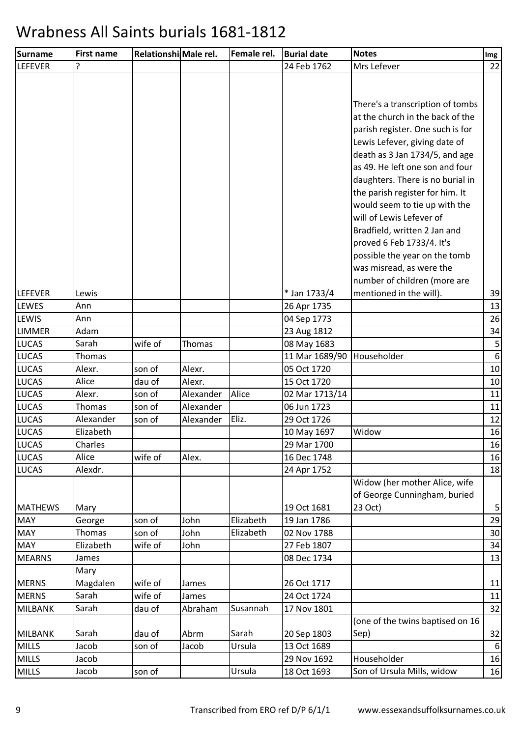| <b>Surname</b> | <b>First name</b> | Relationshi Male rel. |           | Female rel. | <b>Burial date</b> | <b>Notes</b>                     | Img             |
|----------------|-------------------|-----------------------|-----------|-------------|--------------------|----------------------------------|-----------------|
| <b>LEFEVER</b> | ?                 |                       |           |             | 24 Feb 1762        | Mrs Lefever                      | 22              |
|                |                   |                       |           |             |                    |                                  |                 |
|                |                   |                       |           |             |                    |                                  |                 |
|                |                   |                       |           |             |                    | There's a transcription of tombs |                 |
|                |                   |                       |           |             |                    | at the church in the back of the |                 |
|                |                   |                       |           |             |                    | parish register. One such is for |                 |
|                |                   |                       |           |             |                    | Lewis Lefever, giving date of    |                 |
|                |                   |                       |           |             |                    | death as 3 Jan 1734/5, and age   |                 |
|                |                   |                       |           |             |                    | as 49. He left one son and four  |                 |
|                |                   |                       |           |             |                    | daughters. There is no burial in |                 |
|                |                   |                       |           |             |                    | the parish register for him. It  |                 |
|                |                   |                       |           |             |                    | would seem to tie up with the    |                 |
|                |                   |                       |           |             |                    | will of Lewis Lefever of         |                 |
|                |                   |                       |           |             |                    | Bradfield, written 2 Jan and     |                 |
|                |                   |                       |           |             |                    | proved 6 Feb 1733/4. It's        |                 |
|                |                   |                       |           |             |                    | possible the year on the tomb    |                 |
|                |                   |                       |           |             |                    | was misread, as were the         |                 |
|                |                   |                       |           |             |                    | number of children (more are     |                 |
| <b>LEFEVER</b> | Lewis             |                       |           |             | * Jan 1733/4       | mentioned in the will).          | 39              |
| <b>LEWES</b>   | Ann               |                       |           |             | 26 Apr 1735        |                                  | 13              |
| LEWIS          | Ann               |                       |           |             | 04 Sep 1773        |                                  | 26              |
| <b>LIMMER</b>  | Adam              |                       |           |             | 23 Aug 1812        |                                  | 34              |
| <b>LUCAS</b>   | Sarah             | wife of               | Thomas    |             | 08 May 1683        |                                  | 5               |
| <b>LUCAS</b>   | Thomas            |                       |           |             | 11 Mar 1689/90     | Householder                      | $6\phantom{1}6$ |
| <b>LUCAS</b>   | Alexr.            | son of                | Alexr.    |             | 05 Oct 1720        |                                  | 10              |
| <b>LUCAS</b>   | Alice             | dau of                | Alexr.    |             | 15 Oct 1720        |                                  | 10              |
| LUCAS          | Alexr.            | son of                | Alexander | Alice       | 02 Mar 1713/14     |                                  | 11              |
| <b>LUCAS</b>   | Thomas            | son of                | Alexander |             | 06 Jun 1723        |                                  | 11              |
| <b>LUCAS</b>   | Alexander         | son of                | Alexander | Eliz.       | 29 Oct 1726        |                                  | 12              |
| <b>LUCAS</b>   | Elizabeth         |                       |           |             | 10 May 1697        | Widow                            | 16              |
| <b>LUCAS</b>   | Charles           |                       |           |             | 29 Mar 1700        |                                  | 16              |
| <b>LUCAS</b>   | Alice             | wife of               | Alex.     |             | 16 Dec 1748        |                                  | 16              |
| <b>LUCAS</b>   | Alexdr.           |                       |           |             | 24 Apr 1752        |                                  | 18              |
|                |                   |                       |           |             |                    | Widow (her mother Alice, wife    |                 |
|                |                   |                       |           |             |                    | of George Cunningham, buried     |                 |
| <b>MATHEWS</b> | Mary              |                       |           |             | 19 Oct 1681        | 23 Oct)                          | 5               |
| <b>MAY</b>     | George            | son of                | John      | Elizabeth   | 19 Jan 1786        |                                  | 29              |
| <b>MAY</b>     | Thomas            | son of                | John      | Elizabeth   | 02 Nov 1788        |                                  | 30              |
| <b>MAY</b>     | Elizabeth         | wife of               | John      |             | 27 Feb 1807        |                                  | 34              |
| <b>MEARNS</b>  | James             |                       |           |             | 08 Dec 1734        |                                  | 13              |
|                | Mary              |                       |           |             |                    |                                  |                 |
| <b>MERNS</b>   | Magdalen          | wife of               | James     |             | 26 Oct 1717        |                                  | 11              |
| <b>MERNS</b>   | Sarah             | wife of               | James     |             | 24 Oct 1724        |                                  | 11              |
| <b>MILBANK</b> | Sarah             | dau of                | Abraham   | Susannah    | 17 Nov 1801        |                                  | 32              |
|                |                   |                       |           |             |                    | (one of the twins baptised on 16 |                 |
| MILBANK        | Sarah             | dau of                | Abrm      | Sarah       | 20 Sep 1803        | Sep)                             | 32              |
| <b>MILLS</b>   | Jacob             | son of                | Jacob     | Ursula      | 13 Oct 1689        |                                  | 6               |
| <b>MILLS</b>   | Jacob             |                       |           |             | 29 Nov 1692        | Householder                      | 16              |
| <b>MILLS</b>   | Jacob             | son of                |           | Ursula      | 18 Oct 1693        | Son of Ursula Mills, widow       | 16              |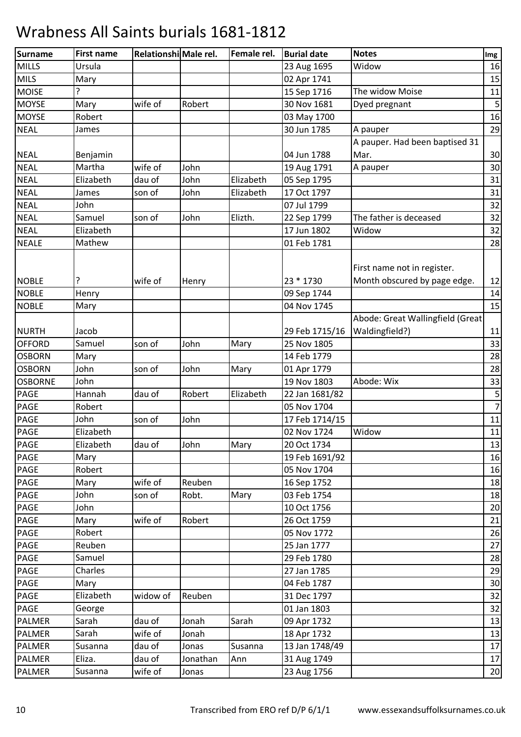| Surname        | <b>First name</b> | Relationshi Male rel. |          | Female rel. | <b>Burial date</b> | <b>Notes</b>                     | Img            |
|----------------|-------------------|-----------------------|----------|-------------|--------------------|----------------------------------|----------------|
| <b>MILLS</b>   | Ursula            |                       |          |             | 23 Aug 1695        | Widow                            | 16             |
| <b>MILS</b>    | Mary              |                       |          |             | 02 Apr 1741        |                                  | 15             |
| <b>MOISE</b>   | ς                 |                       |          |             | 15 Sep 1716        | The widow Moise                  | 11             |
| <b>MOYSE</b>   | Mary              | wife of               | Robert   |             | 30 Nov 1681        | Dyed pregnant                    | $\mathsf S$    |
| <b>MOYSE</b>   | Robert            |                       |          |             | 03 May 1700        |                                  | 16             |
| <b>NEAL</b>    | James             |                       |          |             | 30 Jun 1785        | A pauper                         | 29             |
|                |                   |                       |          |             |                    | A pauper. Had been baptised 31   |                |
| <b>NEAL</b>    | Benjamin          |                       |          |             | 04 Jun 1788        | Mar.                             | 30             |
| <b>NEAL</b>    | Martha            | wife of               | John     |             | 19 Aug 1791        | A pauper                         | 30             |
| <b>NEAL</b>    | Elizabeth         | dau of                | John     | Elizabeth   | 05 Sep 1795        |                                  | 31             |
| <b>NEAL</b>    | James             | son of                | John     | Elizabeth   | 17 Oct 1797        |                                  | 31             |
| <b>NEAL</b>    | John              |                       |          |             | 07 Jul 1799        |                                  | 32             |
| <b>NEAL</b>    | Samuel            | son of                | John     | Elizth.     | 22 Sep 1799        | The father is deceased           | 32             |
| <b>NEAL</b>    | Elizabeth         |                       |          |             | 17 Jun 1802        | Widow                            | 32             |
| <b>NEALE</b>   | Mathew            |                       |          |             | 01 Feb 1781        |                                  | 28             |
|                |                   |                       |          |             |                    |                                  |                |
|                |                   |                       |          |             |                    | First name not in register.      |                |
| <b>NOBLE</b>   | P                 | wife of               | Henry    |             | 23 * 1730          | Month obscured by page edge.     | 12             |
| <b>NOBLE</b>   | Henry             |                       |          |             | 09 Sep 1744        |                                  | 14             |
| <b>NOBLE</b>   | Mary              |                       |          |             | 04 Nov 1745        |                                  | 15             |
|                |                   |                       |          |             |                    | Abode: Great Wallingfield (Great |                |
| <b>NURTH</b>   | Jacob             |                       |          |             | 29 Feb 1715/16     | Waldingfield?)                   | 11             |
| <b>OFFORD</b>  | Samuel            | son of                | John     | Mary        | 25 Nov 1805        |                                  | 33             |
| <b>OSBORN</b>  | Mary              |                       |          |             | 14 Feb 1779        |                                  | 28             |
| <b>OSBORN</b>  | John              | son of                | John     | Mary        | 01 Apr 1779        |                                  | 28             |
| <b>OSBORNE</b> | John              |                       |          |             | 19 Nov 1803        | Abode: Wix                       | 33             |
| <b>PAGE</b>    | Hannah            | dau of                | Robert   | Elizabeth   | 22 Jan 1681/82     |                                  | 5              |
| <b>PAGE</b>    | Robert            |                       |          |             | 05 Nov 1704        |                                  | $\overline{7}$ |
| <b>PAGE</b>    | John              | son of                | John     |             | 17 Feb 1714/15     |                                  | 11             |
| <b>PAGE</b>    | Elizabeth         |                       |          |             | 02 Nov 1724        | Widow                            | 11             |
| <b>PAGE</b>    | Elizabeth         | dau of                | John     | Mary        | 20 Oct 1734        |                                  | 13             |
| <b>PAGE</b>    | Mary              |                       |          |             | 19 Feb 1691/92     |                                  | 16             |
| <b>PAGE</b>    | Robert            |                       |          |             | 05 Nov 1704        |                                  | 16             |
| <b>PAGE</b>    | Mary              | wife of               | Reuben   |             | 16 Sep 1752        |                                  | 18             |
| <b>PAGE</b>    | John              | son of                | Robt.    | Mary        | 03 Feb 1754        |                                  | 18             |
| PAGE           | John              |                       |          |             | 10 Oct 1756        |                                  | 20             |
| <b>PAGE</b>    | Mary              | wife of               | Robert   |             | 26 Oct 1759        |                                  | 21             |
| <b>PAGE</b>    | Robert            |                       |          |             | 05 Nov 1772        |                                  | 26             |
| <b>PAGE</b>    | Reuben            |                       |          |             | 25 Jan 1777        |                                  | 27             |
| <b>PAGE</b>    | Samuel            |                       |          |             | 29 Feb 1780        |                                  | 28             |
| <b>PAGE</b>    | Charles           |                       |          |             | 27 Jan 1785        |                                  | 29             |
| <b>PAGE</b>    | Mary              |                       |          |             | 04 Feb 1787        |                                  | 30             |
| <b>PAGE</b>    | Elizabeth         | widow of              | Reuben   |             | 31 Dec 1797        |                                  | 32             |
| <b>PAGE</b>    | George            |                       |          |             | 01 Jan 1803        |                                  | 32             |
| <b>PALMER</b>  | Sarah             | dau of                | Jonah    | Sarah       | 09 Apr 1732        |                                  | 13             |
| <b>PALMER</b>  | Sarah             | wife of               | Jonah    |             | 18 Apr 1732        |                                  | 13             |
| <b>PALMER</b>  | Susanna           | dau of                | Jonas    | Susanna     | 13 Jan 1748/49     |                                  | 17             |
| <b>PALMER</b>  | Eliza.            | dau of                | Jonathan | Ann         | 31 Aug 1749        |                                  | 17             |
| <b>PALMER</b>  | Susanna           | wife of               | Jonas    |             | 23 Aug 1756        |                                  | 20             |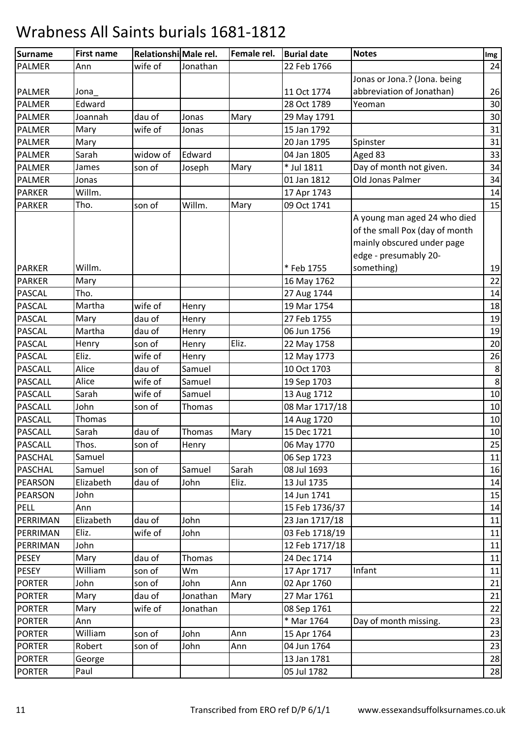| Surname        | <b>First name</b> | Relationshi Male rel. |          | Female rel. | <b>Burial date</b> | <b>Notes</b>                   | Img     |
|----------------|-------------------|-----------------------|----------|-------------|--------------------|--------------------------------|---------|
| <b>PALMER</b>  | Ann               | wife of               | Jonathan |             | 22 Feb 1766        |                                | 24      |
|                |                   |                       |          |             |                    | Jonas or Jona.? (Jona. being   |         |
| <b>PALMER</b>  | Jona              |                       |          |             | 11 Oct 1774        | abbreviation of Jonathan)      | 26      |
| <b>PALMER</b>  | Edward            |                       |          |             | 28 Oct 1789        | Yeoman                         | 30      |
| <b>PALMER</b>  | Joannah           | dau of                | Jonas    | Mary        | 29 May 1791        |                                | 30      |
| <b>PALMER</b>  | Mary              | wife of               | Jonas    |             | 15 Jan 1792        |                                | 31      |
| <b>PALMER</b>  | Mary              |                       |          |             | 20 Jan 1795        | Spinster                       | 31      |
| <b>PALMER</b>  | Sarah             | widow of              | Edward   |             | 04 Jan 1805        | Aged 83                        | 33      |
| <b>PALMER</b>  | James             | son of                | Joseph   | Mary        | * Jul 1811         | Day of month not given.        | 34      |
| <b>PALMER</b>  | Jonas             |                       |          |             | 01 Jan 1812        | Old Jonas Palmer               | 34      |
| <b>PARKER</b>  | Willm.            |                       |          |             | 17 Apr 1743        |                                | 14      |
| <b>PARKER</b>  | Tho.              | son of                | Willm.   | Mary        | 09 Oct 1741        |                                | 15      |
|                |                   |                       |          |             |                    | A young man aged 24 who died   |         |
|                |                   |                       |          |             |                    | of the small Pox (day of month |         |
|                |                   |                       |          |             |                    | mainly obscured under page     |         |
|                |                   |                       |          |             |                    | edge - presumably 20-          |         |
| <b>PARKER</b>  | Willm.            |                       |          |             | *Feb 1755          | something)                     | 19      |
| <b>PARKER</b>  | Mary              |                       |          |             | 16 May 1762        |                                | 22      |
| <b>PASCAL</b>  | Tho.              |                       |          |             | 27 Aug 1744        |                                | 14      |
| PASCAL         | Martha            | wife of               | Henry    |             | 19 Mar 1754        |                                | 18      |
| <b>PASCAL</b>  | Mary              | dau of                | Henry    |             | 27 Feb 1755        |                                | 19      |
| <b>PASCAL</b>  | Martha            | dau of                | Henry    |             | 06 Jun 1756        |                                | 19      |
| <b>PASCAL</b>  | Henry             | son of                | Henry    | Eliz.       | 22 May 1758        |                                | 20      |
| <b>PASCAL</b>  | Eliz.             | wife of               | Henry    |             | 12 May 1773        |                                | 26      |
| PASCALL        | Alice             | dau of                | Samuel   |             | 10 Oct 1703        |                                | $\,8\,$ |
| PASCALL        | Alice             | wife of               | Samuel   |             | 19 Sep 1703        |                                | $\,8\,$ |
| PASCALL        | Sarah             | wife of               | Samuel   |             | 13 Aug 1712        |                                | 10      |
| <b>PASCALL</b> | John              | son of                | Thomas   |             | 08 Mar 1717/18     |                                | 10      |
| <b>PASCALL</b> | Thomas            |                       |          |             | 14 Aug 1720        |                                | 10      |
| <b>PASCALL</b> | Sarah             | dau of                | Thomas   | Mary        | 15 Dec 1721        |                                | 10      |
| <b>PASCALL</b> | Thos.             | son of                | Henry    |             | 06 May 1770        |                                | 25      |
| <b>PASCHAL</b> | Samuel            |                       |          |             | 06 Sep 1723        |                                | 11      |
| <b>PASCHAL</b> | Samuel            | son of                | Samuel   | Sarah       | 08 Jul 1693        |                                | 16      |
| <b>PEARSON</b> | Elizabeth         | dau of                | John     | Eliz.       | 13 Jul 1735        |                                | 14      |
| <b>PEARSON</b> | John              |                       |          |             | 14 Jun 1741        |                                | 15      |
| <b>PELL</b>    | Ann               |                       |          |             | 15 Feb 1736/37     |                                | 14      |
| PERRIMAN       | Elizabeth         | dau of                | John     |             | 23 Jan 1717/18     |                                | 11      |
| PERRIMAN       | Eliz.             | wife of               | John     |             | 03 Feb 1718/19     |                                | 11      |
| PERRIMAN       | John              |                       |          |             | 12 Feb 1717/18     |                                | 11      |
| <b>PESEY</b>   | Mary              | dau of                | Thomas   |             | 24 Dec 1714        |                                | 11      |
| <b>PESEY</b>   | William           | son of                | Wm       |             | 17 Apr 1717        | Infant                         | 11      |
| <b>PORTER</b>  | John              | son of                | John     | Ann         | 02 Apr 1760        |                                | 21      |
| <b>PORTER</b>  | Mary              | dau of                | Jonathan | Mary        | 27 Mar 1761        |                                | 21      |
| <b>PORTER</b>  | Mary              | wife of               | Jonathan |             | 08 Sep 1761        |                                | 22      |
| <b>PORTER</b>  | Ann               |                       |          |             | * Mar 1764         | Day of month missing.          | 23      |
| <b>PORTER</b>  | William           | son of                | John     | Ann         | 15 Apr 1764        |                                | 23      |
| <b>PORTER</b>  | Robert            | son of                | John     | Ann         | 04 Jun 1764        |                                | 23      |
| <b>PORTER</b>  | George            |                       |          |             | 13 Jan 1781        |                                | 28      |
| <b>PORTER</b>  | Paul              |                       |          |             | 05 Jul 1782        |                                | 28      |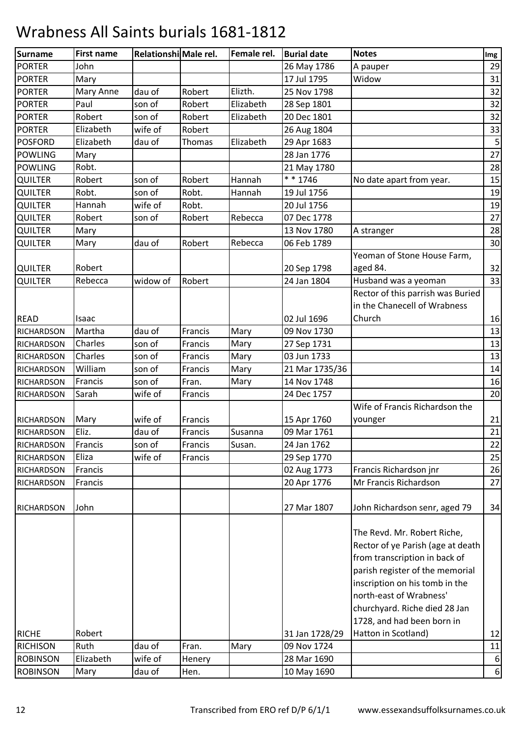| <b>Surname</b>    | <b>First name</b> | Relationshi Male rel. |         | Female rel. | <b>Burial date</b> | <b>Notes</b>                                                                                                                                                                                                                                                     | Img         |
|-------------------|-------------------|-----------------------|---------|-------------|--------------------|------------------------------------------------------------------------------------------------------------------------------------------------------------------------------------------------------------------------------------------------------------------|-------------|
| <b>PORTER</b>     | John              |                       |         |             | 26 May 1786        | A pauper                                                                                                                                                                                                                                                         | 29          |
| <b>PORTER</b>     | Mary              |                       |         |             | 17 Jul 1795        | Widow                                                                                                                                                                                                                                                            | 31          |
| <b>PORTER</b>     | Mary Anne         | dau of                | Robert  | Elizth.     | 25 Nov 1798        |                                                                                                                                                                                                                                                                  | 32          |
| <b>PORTER</b>     | Paul              | son of                | Robert  | Elizabeth   | 28 Sep 1801        |                                                                                                                                                                                                                                                                  | 32          |
| <b>PORTER</b>     | Robert            | son of                | Robert  | Elizabeth   | 20 Dec 1801        |                                                                                                                                                                                                                                                                  | 32          |
| <b>PORTER</b>     | Elizabeth         | wife of               | Robert  |             | 26 Aug 1804        |                                                                                                                                                                                                                                                                  | 33          |
| <b>POSFORD</b>    | Elizabeth         | dau of                | Thomas  | Elizabeth   | 29 Apr 1683        |                                                                                                                                                                                                                                                                  | $\mathsf S$ |
| <b>POWLING</b>    | Mary              |                       |         |             | 28 Jan 1776        |                                                                                                                                                                                                                                                                  | 27          |
| <b>POWLING</b>    | Robt.             |                       |         |             | 21 May 1780        |                                                                                                                                                                                                                                                                  | 28          |
| <b>QUILTER</b>    | Robert            | son of                | Robert  | Hannah      | $* * 1746$         | No date apart from year.                                                                                                                                                                                                                                         | 15          |
| <b>QUILTER</b>    | Robt.             | son of                | Robt.   | Hannah      | 19 Jul 1756        |                                                                                                                                                                                                                                                                  | 19          |
| <b>QUILTER</b>    | Hannah            | wife of               | Robt.   |             | 20 Jul 1756        |                                                                                                                                                                                                                                                                  | 19          |
| QUILTER           | Robert            | son of                | Robert  | Rebecca     | 07 Dec 1778        |                                                                                                                                                                                                                                                                  | 27          |
| QUILTER           | Mary              |                       |         |             | 13 Nov 1780        | A stranger                                                                                                                                                                                                                                                       | 28          |
| <b>QUILTER</b>    | Mary              | dau of                | Robert  | Rebecca     | 06 Feb 1789        |                                                                                                                                                                                                                                                                  | 30          |
|                   |                   |                       |         |             |                    | Yeoman of Stone House Farm,                                                                                                                                                                                                                                      |             |
| <b>QUILTER</b>    | Robert            |                       |         |             | 20 Sep 1798        | aged 84.                                                                                                                                                                                                                                                         | 32          |
| QUILTER           | Rebecca           | widow of              | Robert  |             | 24 Jan 1804        | Husband was a yeoman                                                                                                                                                                                                                                             | 33          |
|                   |                   |                       |         |             |                    | Rector of this parrish was Buried                                                                                                                                                                                                                                |             |
|                   |                   |                       |         |             |                    | in the Chanecell of Wrabness                                                                                                                                                                                                                                     |             |
| <b>READ</b>       | Isaac             |                       |         |             | 02 Jul 1696        | Church                                                                                                                                                                                                                                                           | 16          |
| <b>RICHARDSON</b> | Martha            | dau of                | Francis | Mary        | 09 Nov 1730        |                                                                                                                                                                                                                                                                  | 13          |
| <b>RICHARDSON</b> | Charles           | son of                | Francis | Mary        | 27 Sep 1731        |                                                                                                                                                                                                                                                                  | 13          |
| <b>RICHARDSON</b> | Charles           | son of                | Francis | Mary        | 03 Jun 1733        |                                                                                                                                                                                                                                                                  | 13          |
| RICHARDSON        | William           | son of                | Francis | Mary        | 21 Mar 1735/36     |                                                                                                                                                                                                                                                                  | 14          |
| <b>RICHARDSON</b> | Francis           | son of                | Fran.   | Mary        | 14 Nov 1748        |                                                                                                                                                                                                                                                                  | 16          |
| <b>RICHARDSON</b> | Sarah             | wife of               | Francis |             | 24 Dec 1757        |                                                                                                                                                                                                                                                                  | 20          |
|                   |                   |                       |         |             |                    | Wife of Francis Richardson the                                                                                                                                                                                                                                   |             |
| <b>RICHARDSON</b> | Mary              | wife of               | Francis |             | 15 Apr 1760        | younger                                                                                                                                                                                                                                                          | 21          |
| <b>RICHARDSON</b> | Eliz.             | dau of                | Francis | Susanna     | 09 Mar 1761        |                                                                                                                                                                                                                                                                  | 21          |
| RICHARDSON        | Francis           | son of                | Francis | Susan.      | 24 Jan 1762        |                                                                                                                                                                                                                                                                  | 22          |
| <b>RICHARDSON</b> | Eliza             | wife of               | Francis |             | 29 Sep 1770        |                                                                                                                                                                                                                                                                  | 25          |
| <b>RICHARDSON</b> | Francis           |                       |         |             | 02 Aug 1773        | Francis Richardson jnr                                                                                                                                                                                                                                           | 26          |
| <b>RICHARDSON</b> | Francis           |                       |         |             | 20 Apr 1776        | Mr Francis Richardson                                                                                                                                                                                                                                            | 27          |
| <b>RICHARDSON</b> | John              |                       |         |             | 27 Mar 1807        | John Richardson senr, aged 79                                                                                                                                                                                                                                    | 34          |
|                   | Robert            |                       |         |             |                    | The Revd. Mr. Robert Riche,<br>Rector of ye Parish (age at death<br>from transcription in back of<br>parish register of the memorial<br>inscription on his tomb in the<br>north-east of Wrabness'<br>churchyard. Riche died 28 Jan<br>1728, and had been born in |             |
| <b>RICHE</b>      |                   |                       |         |             | 31 Jan 1728/29     | Hatton in Scotland)                                                                                                                                                                                                                                              | 12          |
| <b>RICHISON</b>   | Ruth              | dau of                | Fran.   | Mary        | 09 Nov 1724        |                                                                                                                                                                                                                                                                  | 11          |
| <b>ROBINSON</b>   | Elizabeth         | wife of               | Henery  |             | 28 Mar 1690        |                                                                                                                                                                                                                                                                  | 6           |
| <b>ROBINSON</b>   | Mary              | dau of                | Hen.    |             | 10 May 1690        |                                                                                                                                                                                                                                                                  | $6 \mid$    |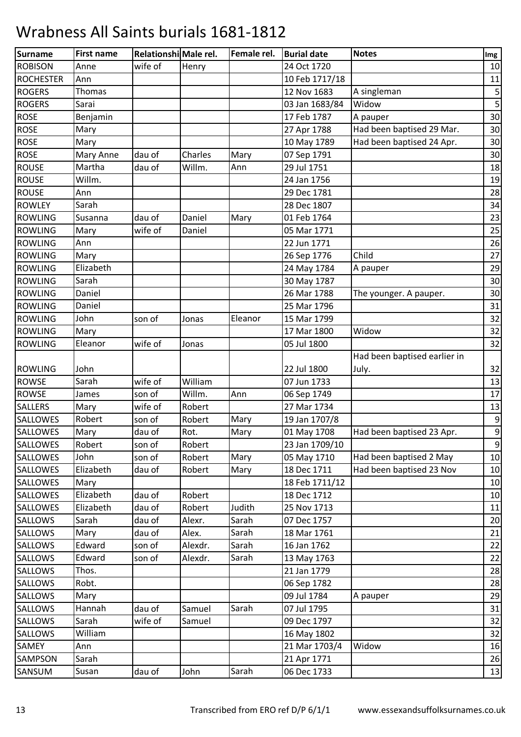| <b>Surname</b>   | <b>First name</b> | Relationshi Male rel. |         | Female rel. | <b>Burial date</b> | <b>Notes</b>                 | Img              |
|------------------|-------------------|-----------------------|---------|-------------|--------------------|------------------------------|------------------|
| <b>ROBISON</b>   | Anne              | wife of               | Henry   |             | 24 Oct 1720        |                              | 10               |
| <b>ROCHESTER</b> | Ann               |                       |         |             | 10 Feb 1717/18     |                              | 11               |
| <b>ROGERS</b>    | Thomas            |                       |         |             | 12 Nov 1683        | A singleman                  | $\mathsf S$      |
| <b>ROGERS</b>    | Sarai             |                       |         |             | 03 Jan 1683/84     | Widow                        | 5                |
| <b>ROSE</b>      | Benjamin          |                       |         |             | 17 Feb 1787        | A pauper                     | 30               |
| <b>ROSE</b>      | Mary              |                       |         |             | 27 Apr 1788        | Had been baptised 29 Mar.    | 30               |
| <b>ROSE</b>      | Mary              |                       |         |             | 10 May 1789        | Had been baptised 24 Apr.    | 30               |
| <b>ROSE</b>      | Mary Anne         | dau of                | Charles | Mary        | 07 Sep 1791        |                              | 30               |
| <b>ROUSE</b>     | Martha            | dau of                | Willm.  | Ann         | 29 Jul 1751        |                              | 18               |
| <b>ROUSE</b>     | Willm.            |                       |         |             | 24 Jan 1756        |                              | 19               |
| <b>ROUSE</b>     | Ann               |                       |         |             | 29 Dec 1781        |                              | 28               |
| <b>ROWLEY</b>    | Sarah             |                       |         |             | 28 Dec 1807        |                              | 34               |
| <b>ROWLING</b>   | Susanna           | dau of                | Daniel  | Mary        | 01 Feb 1764        |                              | 23               |
| <b>ROWLING</b>   | Mary              | wife of               | Daniel  |             | 05 Mar 1771        |                              | 25               |
| <b>ROWLING</b>   | Ann               |                       |         |             | 22 Jun 1771        |                              | 26               |
| <b>ROWLING</b>   | Mary              |                       |         |             | 26 Sep 1776        | Child                        | 27               |
| <b>ROWLING</b>   | Elizabeth         |                       |         |             | 24 May 1784        | A pauper                     | 29               |
| <b>ROWLING</b>   | Sarah             |                       |         |             | 30 May 1787        |                              | 30               |
| <b>ROWLING</b>   | Daniel            |                       |         |             | 26 Mar 1788        | The younger. A pauper.       | 30               |
| <b>ROWLING</b>   | Daniel            |                       |         |             | 25 Mar 1796        |                              | 31               |
| <b>ROWLING</b>   | John              | son of                | Jonas   | Eleanor     | 15 Mar 1799        |                              | 32               |
| <b>ROWLING</b>   | Mary              |                       |         |             | 17 Mar 1800        | Widow                        | 32               |
| <b>ROWLING</b>   | Eleanor           | wife of               | Jonas   |             | 05 Jul 1800        |                              | 32               |
|                  |                   |                       |         |             |                    | Had been baptised earlier in |                  |
| <b>ROWLING</b>   | John              |                       |         |             | 22 Jul 1800        | July.                        | 32               |
| <b>ROWSE</b>     | Sarah             | wife of               | William |             | 07 Jun 1733        |                              | 13               |
| <b>ROWSE</b>     | James             | son of                | Willm.  | Ann         | 06 Sep 1749        |                              | 17               |
| <b>SALLERS</b>   | Mary              | wife of               | Robert  |             | 27 Mar 1734        |                              | 13               |
| <b>SALLOWES</b>  | Robert            | son of                | Robert  | Mary        | 19 Jan 1707/8      |                              | $\boldsymbol{9}$ |
| <b>SALLOWES</b>  | Mary              | dau of                | Rot.    | Mary        | 01 May 1708        | Had been baptised 23 Apr.    | $\boldsymbol{9}$ |
| <b>SALLOWES</b>  | Robert            | son of                | Robert  |             | 23 Jan 1709/10     |                              | $9\,$            |
| <b>SALLOWES</b>  | John              | son of                | Robert  | Mary        | 05 May 1710        | Had been baptised 2 May      | 10               |
| <b>SALLOWES</b>  | Elizabeth         | dau of                | Robert  | Mary        | 18 Dec 1711        | Had been baptised 23 Nov     | 10               |
| <b>SALLOWES</b>  | Mary              |                       |         |             | 18 Feb 1711/12     |                              | 10               |
| <b>SALLOWES</b>  | Elizabeth         | dau of                | Robert  |             | 18 Dec 1712        |                              | 10               |
| <b>SALLOWES</b>  | Elizabeth         | dau of                | Robert  | Judith      | 25 Nov 1713        |                              | 11               |
| SALLOWS          | Sarah             | dau of                | Alexr.  | Sarah       | 07 Dec 1757        |                              | 20               |
| <b>SALLOWS</b>   | Mary              | dau of                | Alex.   | Sarah       | 18 Mar 1761        |                              | 21               |
| <b>SALLOWS</b>   | Edward            | son of                | Alexdr. | Sarah       | 16 Jan 1762        |                              | 22               |
| <b>SALLOWS</b>   | Edward            | son of                | Alexdr. | Sarah       | 13 May 1763        |                              | 22               |
| <b>SALLOWS</b>   | Thos.             |                       |         |             | 21 Jan 1779        |                              | 28               |
| <b>SALLOWS</b>   | Robt.             |                       |         |             | 06 Sep 1782        |                              | 28               |
| <b>SALLOWS</b>   | Mary              |                       |         |             | 09 Jul 1784        | A pauper                     | 29               |
| <b>SALLOWS</b>   | Hannah            | dau of                | Samuel  | Sarah       | 07 Jul 1795        |                              | 31               |
| <b>SALLOWS</b>   | Sarah             | wife of               | Samuel  |             | 09 Dec 1797        |                              | 32               |
| <b>SALLOWS</b>   | William           |                       |         |             | 16 May 1802        |                              | 32               |
| SAMEY            | Ann               |                       |         |             | 21 Mar 1703/4      | Widow                        | 16               |
| <b>SAMPSON</b>   | Sarah             |                       |         |             | 21 Apr 1771        |                              | 26               |
| SANSUM           | Susan             | dau of                | John    | Sarah       | 06 Dec 1733        |                              | 13               |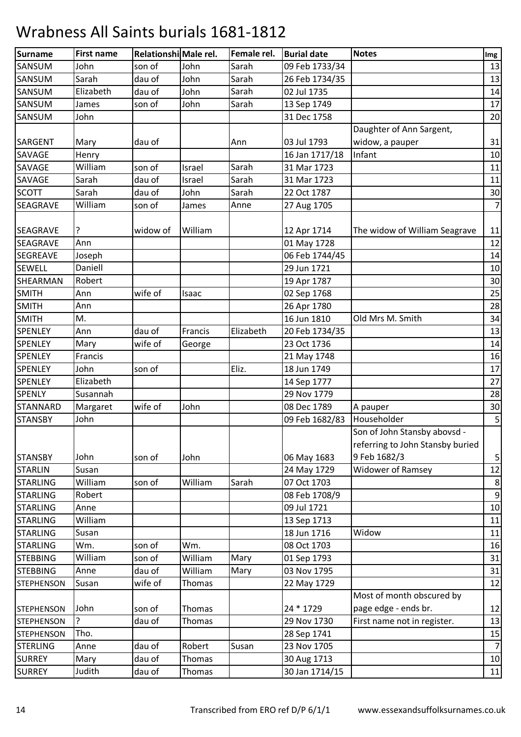| Surname           | <b>First name</b> | Relationshi Male rel. |               | Female rel. | <b>Burial date</b> | <b>Notes</b>                     | Img              |
|-------------------|-------------------|-----------------------|---------------|-------------|--------------------|----------------------------------|------------------|
| SANSUM            | John              | son of                | John          | Sarah       | 09 Feb 1733/34     |                                  | 13               |
| SANSUM            | Sarah             | dau of                | John          | Sarah       | 26 Feb 1734/35     |                                  | 13               |
| SANSUM            | Elizabeth         | dau of                | John          | Sarah       | 02 Jul 1735        |                                  | 14               |
| SANSUM            | James             | son of                | John          | Sarah       | 13 Sep 1749        |                                  | 17               |
| SANSUM            | John              |                       |               |             | 31 Dec 1758        |                                  | 20               |
|                   |                   |                       |               |             |                    | Daughter of Ann Sargent,         |                  |
| <b>SARGENT</b>    | Mary              | dau of                |               | Ann         | 03 Jul 1793        | widow, a pauper                  | 31               |
| <b>SAVAGE</b>     | Henry             |                       |               |             | 16 Jan 1717/18     | Infant                           | 10               |
| SAVAGE            | William           | son of                | Israel        | Sarah       | 31 Mar 1723        |                                  | 11               |
| SAVAGE            | Sarah             | dau of                | Israel        | Sarah       | 31 Mar 1723        |                                  | 11               |
| <b>SCOTT</b>      | Sarah             | dau of                | John          | Sarah       | 22 Oct 1787        |                                  | 30               |
| SEAGRAVE          | William           | son of                | James         | Anne        | 27 Aug 1705        |                                  | $\overline{7}$   |
|                   |                   |                       |               |             |                    |                                  |                  |
| <b>SEAGRAVE</b>   |                   | widow of              | William       |             | 12 Apr 1714        | The widow of William Seagrave    | 11               |
| <b>SEAGRAVE</b>   | Ann               |                       |               |             | 01 May 1728        |                                  | 12               |
| <b>SEGREAVE</b>   | Joseph            |                       |               |             | 06 Feb 1744/45     |                                  | 14               |
| <b>SEWELL</b>     | Daniell           |                       |               |             | 29 Jun 1721        |                                  | 10               |
| SHEARMAN          | Robert            |                       |               |             | 19 Apr 1787        |                                  | 30               |
| <b>SMITH</b>      | Ann               | wife of               | Isaac         |             | 02 Sep 1768        |                                  | 25               |
| <b>SMITH</b>      | Ann               |                       |               |             | 26 Apr 1780        |                                  | 28               |
| <b>SMITH</b>      | M.                |                       |               |             | 16 Jun 1810        | Old Mrs M. Smith                 | 34               |
| <b>SPENLEY</b>    | Ann               | dau of                | Francis       | Elizabeth   | 20 Feb 1734/35     |                                  | 13               |
| <b>SPENLEY</b>    | Mary              | wife of               | George        |             | 23 Oct 1736        |                                  | 14               |
| <b>SPENLEY</b>    | Francis           |                       |               |             | 21 May 1748        |                                  | 16               |
| <b>SPENLEY</b>    | John              | son of                |               | Eliz.       | 18 Jun 1749        |                                  | 17               |
| <b>SPENLEY</b>    | Elizabeth         |                       |               |             | 14 Sep 1777        |                                  | 27               |
| <b>SPENLY</b>     | Susannah          |                       |               |             | 29 Nov 1779        |                                  | 28               |
| <b>STANNARD</b>   | Margaret          | wife of               | John          |             | 08 Dec 1789        | A pauper                         | 30               |
| <b>STANSBY</b>    | John              |                       |               |             | 09 Feb 1682/83     | Householder                      | 5                |
|                   |                   |                       |               |             |                    | Son of John Stansby abovsd -     |                  |
|                   |                   |                       |               |             |                    | referring to John Stansby buried |                  |
| <b>STANSBY</b>    | John              | son of                | John          |             | 06 May 1683        | 9 Feb 1682/3                     | 5                |
| <b>STARLIN</b>    | Susan             |                       |               |             | 24 May 1729        | <b>Widower of Ramsey</b>         | 12               |
| <b>STARLING</b>   | William           | son of                | William       | Sarah       | 07 Oct 1703        |                                  | $\bf 8$          |
| <b>STARLING</b>   | Robert            |                       |               |             | 08 Feb 1708/9      |                                  | $\boldsymbol{9}$ |
| <b>STARLING</b>   | Anne              |                       |               |             | 09 Jul 1721        |                                  | 10               |
| <b>STARLING</b>   | William           |                       |               |             | 13 Sep 1713        |                                  | 11               |
| <b>STARLING</b>   | Susan             |                       |               |             | 18 Jun 1716        | Widow                            | 11               |
| <b>STARLING</b>   | Wm.               | son of                | Wm.           |             | 08 Oct 1703        |                                  | 16               |
| <b>STEBBING</b>   | William           | son of                | William       | Mary        | 01 Sep 1793        |                                  | 31               |
| <b>STEBBING</b>   | Anne              | dau of                | William       | Mary        | 03 Nov 1795        |                                  | 31               |
| <b>STEPHENSON</b> | Susan             | wife of               | <b>Thomas</b> |             | 22 May 1729        |                                  | 12               |
|                   |                   |                       |               |             |                    | Most of month obscured by        |                  |
| <b>STEPHENSON</b> | John              | son of                | Thomas        |             | 24 * 1729          | page edge - ends br.             | 12               |
| <b>STEPHENSON</b> | ?                 | dau of                | Thomas        |             | 29 Nov 1730        | First name not in register.      | 13               |
| <b>STEPHENSON</b> | Tho.              |                       |               |             | 28 Sep 1741        |                                  | 15               |
| <b>STERLING</b>   | Anne              | dau of                | Robert        | Susan       | 23 Nov 1705        |                                  | $\overline{7}$   |
| <b>SURREY</b>     | Mary              | dau of                | <b>Thomas</b> |             | 30 Aug 1713        |                                  | 10               |
| <b>SURREY</b>     | Judith            | dau of                | Thomas        |             | 30 Jan 1714/15     |                                  | 11               |